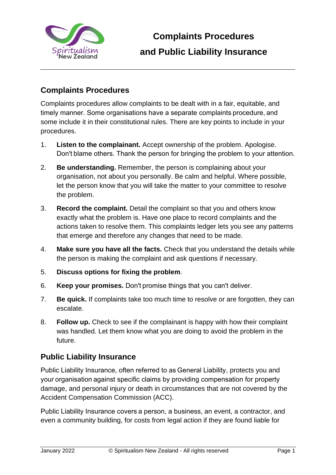

## **Complaints Procedures**

Complaints procedures allow complaints to be dealt with in a fair, equitable, and timely manner. Some organisations have a separate complaints procedure, and some include it in their constitutional rules. There are key points to include in your procedures.

- 1. **Listen to the complainant.** Accept ownership of the problem. Apologise. Don't blame others. Thank the person for bringing the problem to your attention.
- 2. **Be understanding.** Remember, the person is complaining about your organisation, not about you personally. Be calm and helpful. Where possible, let the person know that you will take the matter to your committee to resolve the problem.
- 3. **Record the complaint.** Detail the complaint so that you and others know exactly what the problem is. Have one place to record complaints and the actions taken to resolve them. This complaints ledger lets you see any patterns that emerge and therefore any changes that need to be made.
- 4. **Make sure you have all the facts.** Check that you understand the details while the person is making the complaint and ask questions if necessary.
- 5. **Discuss options for fixing the problem**.
- 6. **Keep your promises.** Don't promise things that you can't deliver.
- 7. **Be quick.** If complaints take too much time to resolve or are forgotten, they can escalate.
- 8. **Follow up.** Check to see if the complainant is happy with how their complaint was handled. Let them know what you are doing to avoid the problem in the future.

## **Public Liability Insurance**

Public Liability Insurance, often referred to as General Liability, protects you and your organisation against specific claims by providing compensation for property damage, and personal injury or death in circumstances that are not covered by the Accident Compensation Commission (ACC).

Public Liability Insurance covers a person, a business, an event, a contractor, and even a community building, for costs from legal action if they are found liable for